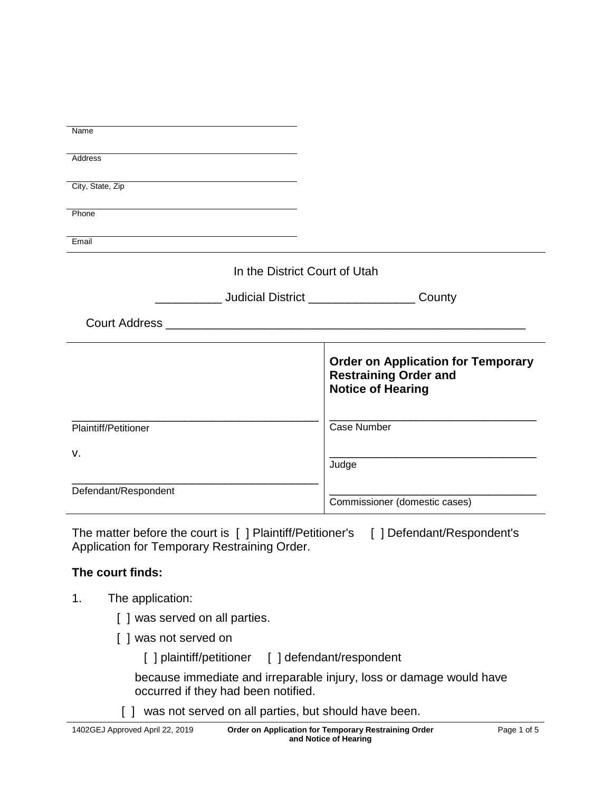| Name                                                             |                                           |
|------------------------------------------------------------------|-------------------------------------------|
|                                                                  |                                           |
| <b>Address</b>                                                   |                                           |
|                                                                  |                                           |
| City, State, Zip                                                 |                                           |
|                                                                  |                                           |
| Phone                                                            |                                           |
|                                                                  |                                           |
| Email                                                            |                                           |
|                                                                  |                                           |
| In the District Court of Utah                                    |                                           |
|                                                                  |                                           |
| ______________ Judicial District ________________________ County |                                           |
|                                                                  |                                           |
|                                                                  |                                           |
|                                                                  |                                           |
|                                                                  | <b>Order on Application for Temporary</b> |
|                                                                  | <b>Restraining Order and</b>              |
|                                                                  | <b>Notice of Hearing</b>                  |
|                                                                  |                                           |
|                                                                  |                                           |
| Plaintiff/Petitioner                                             | <b>Case Number</b>                        |
| V.                                                               |                                           |
|                                                                  | Judge                                     |
|                                                                  |                                           |
| Defendant/Respondent                                             |                                           |
|                                                                  | Commissioner (domestic cases)             |

The matter before the court is [ ] Plaintiff/Petitioner's [ ] Defendant/Respondent's Application for Temporary Restraining Order.

## **The court finds:**

- 1. The application:
	- [ ] was served on all parties.
	- [ ] was not served on
		- [ ] plaintiff/petitioner [ ] defendant/respondent

because immediate and irreparable injury, loss or damage would have occurred if they had been notified.

[ ] was not served on all parties, but should have been.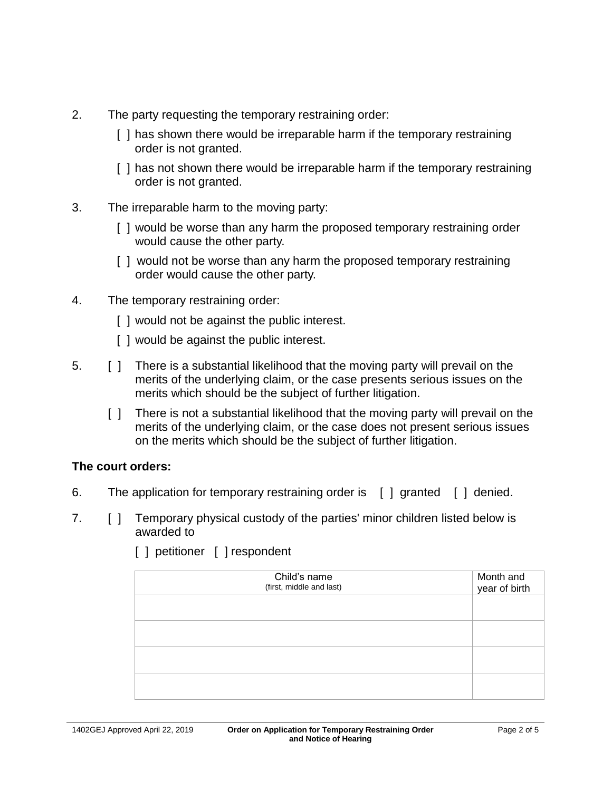- 2. The party requesting the temporary restraining order:
	- [ ] has shown there would be irreparable harm if the temporary restraining order is not granted.
	- [ ] has not shown there would be irreparable harm if the temporary restraining order is not granted.
- 3. The irreparable harm to the moving party:
	- [ ] would be worse than any harm the proposed temporary restraining order would cause the other party.
	- [ ] would not be worse than any harm the proposed temporary restraining order would cause the other party.
- 4. The temporary restraining order:
	- [ ] would not be against the public interest.
	- [ ] would be against the public interest.
- 5. [ ] There is a substantial likelihood that the moving party will prevail on the merits of the underlying claim, or the case presents serious issues on the merits which should be the subject of further litigation.
	- [ ] There is not a substantial likelihood that the moving party will prevail on the merits of the underlying claim, or the case does not present serious issues on the merits which should be the subject of further litigation.

# **The court orders:**

- 6. The application for temporary restraining order is [ ] granted [ ] denied.
- 7. [ ] Temporary physical custody of the parties' minor children listed below is awarded to

| Child's name<br>(first, middle and last) | Month and<br>year of birth |
|------------------------------------------|----------------------------|
|                                          |                            |
|                                          |                            |
|                                          |                            |
|                                          |                            |

[ ] petitioner [ ] respondent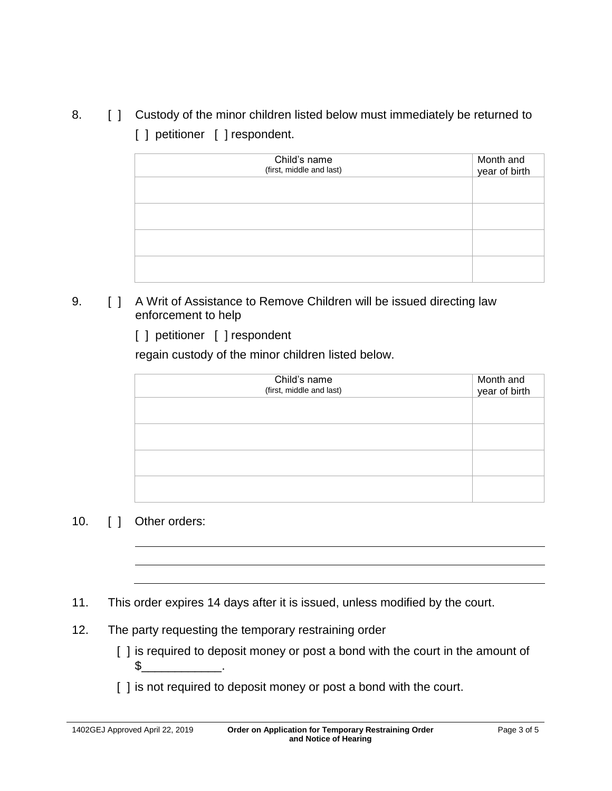8. [ ] Custody of the minor children listed below must immediately be returned to [ ] petitioner [ ] respondent.

| Child's name<br>(first, middle and last) | Month and<br>year of birth |
|------------------------------------------|----------------------------|
|                                          |                            |
|                                          |                            |
|                                          |                            |
|                                          |                            |

## 9. [ ] A Writ of Assistance to Remove Children will be issued directing law enforcement to help

[ ] petitioner [ ] respondent

regain custody of the minor children listed below.

| Child's name<br>(first, middle and last) | Month and<br>year of birth |
|------------------------------------------|----------------------------|
|                                          |                            |
|                                          |                            |
|                                          |                            |
|                                          |                            |

## 10. [ ] Other orders:

11. This order expires 14 days after it is issued, unless modified by the court.

12. The party requesting the temporary restraining order

 $\mathbb{S}$  .

- [] is required to deposit money or post a bond with the court in the amount of
- [] is not required to deposit money or post a bond with the court.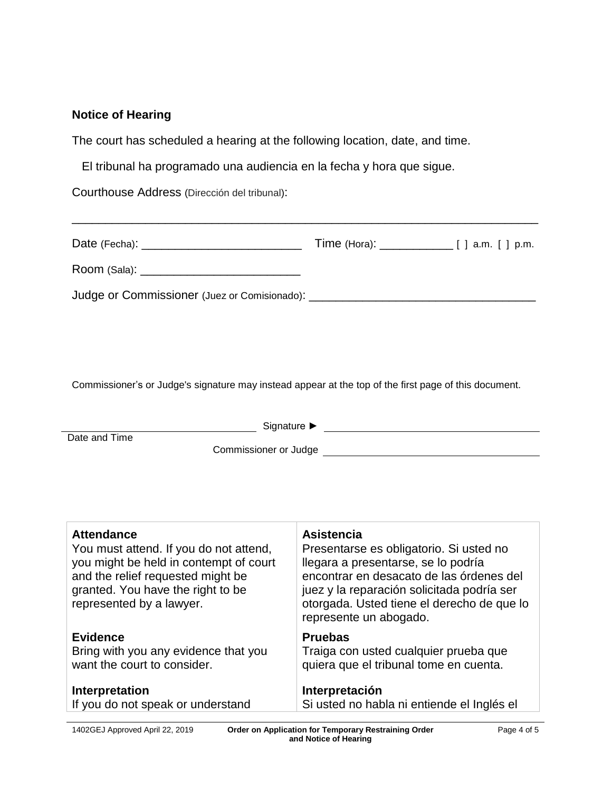### **Notice of Hearing**

The court has scheduled a hearing at the following location, date, and time.

El tribunal ha programado una audiencia en la fecha y hora que sigue.

Courthouse Address (Dirección del tribunal):

| Judge or Commissioner (Juez or Comisionado): ___________________________________ |  |
|----------------------------------------------------------------------------------|--|

\_\_\_\_\_\_\_\_\_\_\_\_\_\_\_\_\_\_\_\_\_\_\_\_\_\_\_\_\_\_\_\_\_\_\_\_\_\_\_\_\_\_\_\_\_\_\_\_\_\_\_\_\_\_\_\_\_\_\_\_\_\_\_\_\_\_\_\_\_\_

Commissioner's or Judge's signature may instead appear at the top of the first page of this document.

| Signature ▶                                                                                                                                                                                                 |                                                                                                                                                                                                                                                                       |  |
|-------------------------------------------------------------------------------------------------------------------------------------------------------------------------------------------------------------|-----------------------------------------------------------------------------------------------------------------------------------------------------------------------------------------------------------------------------------------------------------------------|--|
| Date and Time<br>Commissioner or Judge                                                                                                                                                                      |                                                                                                                                                                                                                                                                       |  |
| <b>Attendance</b><br>You must attend. If you do not attend,<br>you might be held in contempt of court<br>and the relief requested might be<br>granted. You have the right to be<br>represented by a lawyer. | <b>Asistencia</b><br>Presentarse es obligatorio. Si usted no<br>llegara a presentarse, se lo podría<br>encontrar en desacato de las órdenes del<br>juez y la reparación solicitada podría ser<br>otorgada. Usted tiene el derecho de que lo<br>represente un abogado. |  |
| <b>Evidence</b><br>Bring with you any evidence that you<br>want the court to consider.                                                                                                                      | <b>Pruebas</b><br>Traiga con usted cualquier prueba que<br>quiera que el tribunal tome en cuenta.                                                                                                                                                                     |  |
| Interpretation<br>If you do not speak or understand                                                                                                                                                         | Interpretación<br>Si usted no habla ni entiende el Inglés el                                                                                                                                                                                                          |  |